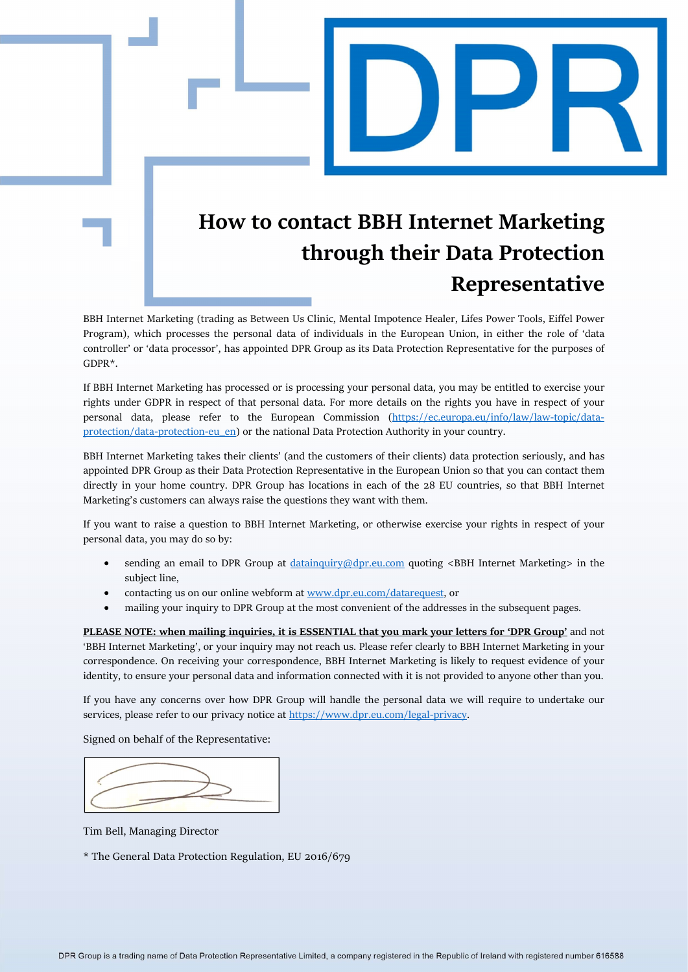## How to contact BBH Internet Marketing through their Data Protection Representative

BBH Internet Marketing (trading as Between Us Clinic, Mental Impotence Healer, Lifes Power Tools, Eiffel Power Program), which processes the personal data of individuals in the European Union, in either the role of 'data controller' or 'data processor', has appointed DPR Group as its Data Protection Representative for the purposes of GDPR\*.

If BBH Internet Marketing has processed or is processing your personal data, you may be entitled to exercise your rights under GDPR in respect of that personal data. For more details on the rights you have in respect of your personal data, please refer to the European Commission (https://ec.europa.eu/info/law/law-topic/dataprotection/data-protection-eu\_en) or the national Data Protection Authority in your country.

BBH Internet Marketing takes their clients' (and the customers of their clients) data protection seriously, and has appointed DPR Group as their Data Protection Representative in the European Union so that you can contact them directly in your home country. DPR Group has locations in each of the 28 EU countries, so that BBH Internet Marketing's customers can always raise the questions they want with them.

If you want to raise a question to BBH Internet Marketing, or otherwise exercise your rights in respect of your personal data, you may do so by:

- sending an email to DPR Group at datainquiry@dpr.eu.com quoting <BBH Internet Marketing> in the subject line,
- contacting us on our online webform at www.dpr.eu.com/datarequest, or
- mailing your inquiry to DPR Group at the most convenient of the addresses in the subsequent pages.

PLEASE NOTE: when mailing inquiries, it is ESSENTIAL that you mark your letters for 'DPR Group' and not 'BBH Internet Marketing', or your inquiry may not reach us. Please refer clearly to BBH Internet Marketing in your correspondence. On receiving your correspondence, BBH Internet Marketing is likely to request evidence of your identity, to ensure your personal data and information connected with it is not provided to anyone other than you.

If you have any concerns over how DPR Group will handle the personal data we will require to undertake our services, please refer to our privacy notice at https://www.dpr.eu.com/legal-privacy.

Signed on behalf of the Representative:

Tim Bell, Managing Director

\* The General Data Protection Regulation, EU 2016/679